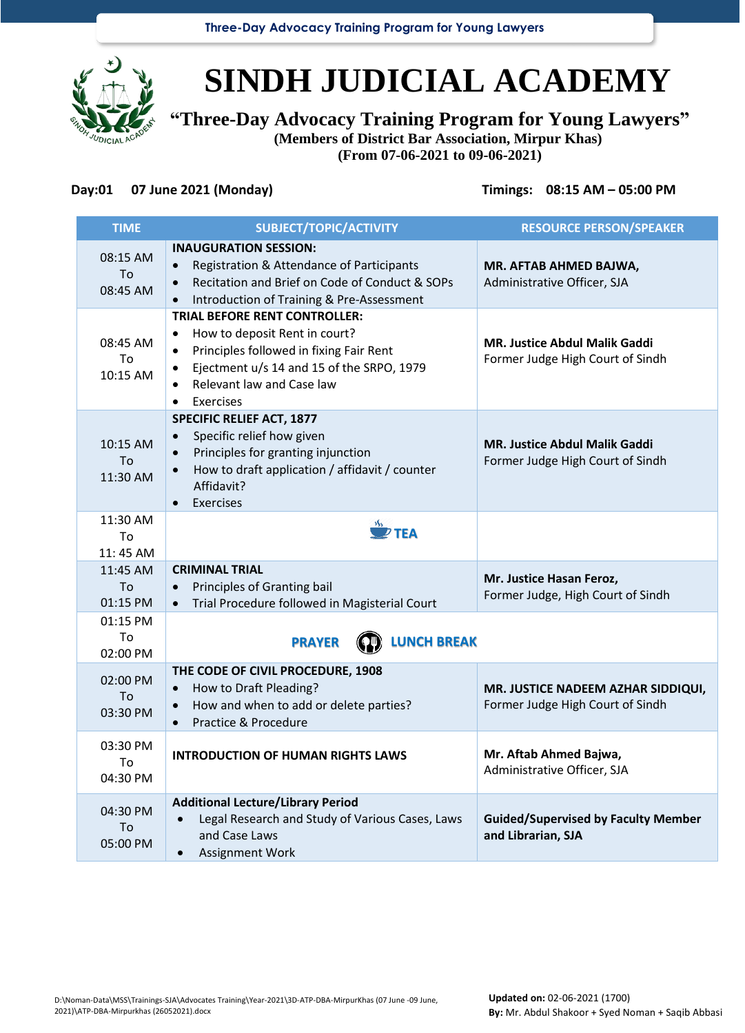**Three-Day Advocacy Training Program for Young Lawyers**



# **SINDH JUDICIAL ACADEMY**

**"Three-Day Advocacy Training Program for Young Lawyers" (Members of District Bar Association, Mirpur Khas)**

**(From 07-06-2021 to 09-06-2021)**

## **Day:01 07 June 2021 (Monday) Timings: 08:15 AM – 05:00 PM**

| <b>TIME</b>                | SUBJECT/TOPIC/ACTIVITY                                                                                                                                                                                                                              | <b>RESOURCE PERSON/SPEAKER</b>                                           |
|----------------------------|-----------------------------------------------------------------------------------------------------------------------------------------------------------------------------------------------------------------------------------------------------|--------------------------------------------------------------------------|
| 08:15 AM<br>To<br>08:45 AM | <b>INAUGURATION SESSION:</b><br>Registration & Attendance of Participants<br>$\bullet$<br>Recitation and Brief on Code of Conduct & SOPs<br>Introduction of Training & Pre-Assessment                                                               | MR. AFTAB AHMED BAJWA,<br>Administrative Officer, SJA                    |
| 08:45 AM<br>To<br>10:15 AM | <b>TRIAL BEFORE RENT CONTROLLER:</b><br>How to deposit Rent in court?<br>$\bullet$<br>Principles followed in fixing Fair Rent<br>$\bullet$<br>Ejectment u/s 14 and 15 of the SRPO, 1979<br>$\bullet$<br>Relevant law and Case law<br>Exercises<br>٠ | <b>MR. Justice Abdul Malik Gaddi</b><br>Former Judge High Court of Sindh |
| 10:15 AM<br>To<br>11:30 AM | <b>SPECIFIC RELIEF ACT, 1877</b><br>Specific relief how given<br>$\bullet$<br>Principles for granting injunction<br>$\bullet$<br>How to draft application / affidavit / counter<br>$\bullet$<br>Affidavit?<br><b>Exercises</b>                      | <b>MR. Justice Abdul Malik Gaddi</b><br>Former Judge High Court of Sindh |
| 11:30 AM<br>To<br>11:45 AM | $\mathbf{P}$ TEA                                                                                                                                                                                                                                    |                                                                          |
| 11:45 AM<br>To<br>01:15 PM | <b>CRIMINAL TRIAL</b><br>Principles of Granting bail<br>$\bullet$<br>Trial Procedure followed in Magisterial Court<br>$\bullet$                                                                                                                     | Mr. Justice Hasan Feroz,<br>Former Judge, High Court of Sindh            |
| 01:15 PM<br>To<br>02:00 PM | <b>LUNCH BREAK</b><br><b>PRAYER</b>                                                                                                                                                                                                                 |                                                                          |
| 02:00 PM<br>To<br>03:30 PM | THE CODE OF CIVIL PROCEDURE, 1908<br>How to Draft Pleading?<br>$\bullet$<br>How and when to add or delete parties?<br>$\bullet$<br>Practice & Procedure                                                                                             | MR. JUSTICE NADEEM AZHAR SIDDIQUI,<br>Former Judge High Court of Sindh   |
| 03:30 PM<br>To<br>04:30 PM | <b>INTRODUCTION OF HUMAN RIGHTS LAWS</b>                                                                                                                                                                                                            | Mr. Aftab Ahmed Bajwa,<br>Administrative Officer, SJA                    |
| 04:30 PM<br>To<br>05:00 PM | <b>Additional Lecture/Library Period</b><br>Legal Research and Study of Various Cases, Laws<br>and Case Laws<br>Assignment Work                                                                                                                     | <b>Guided/Supervised by Faculty Member</b><br>and Librarian, SJA         |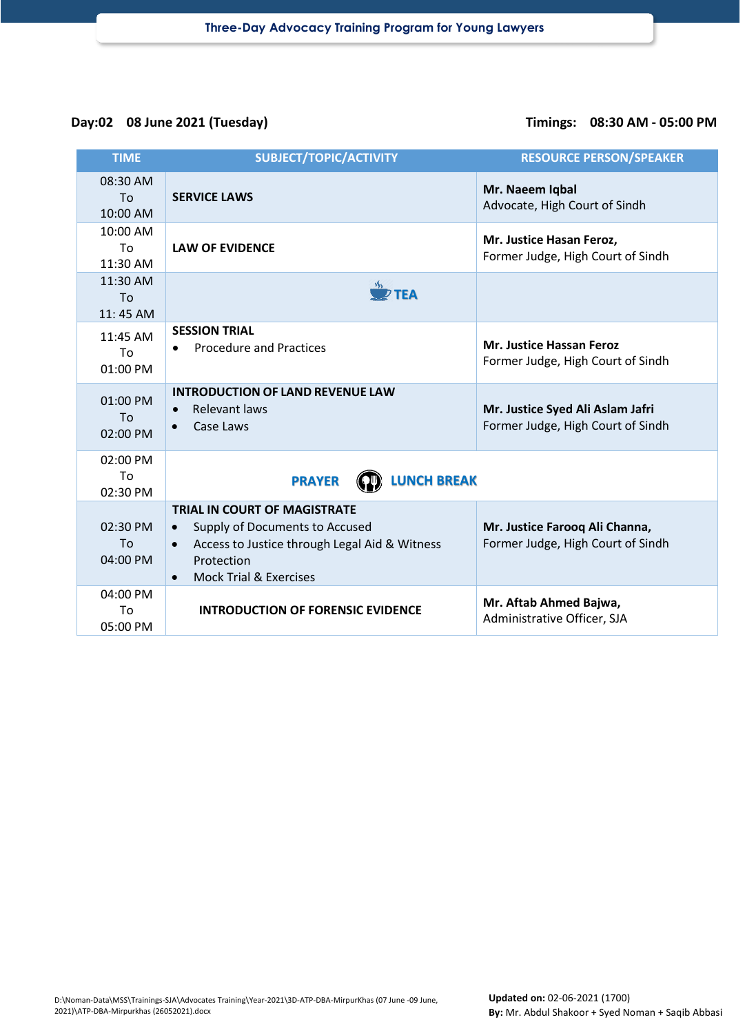## **Day:02 08 June 2021 (Tuesday) Timings: 08:30 AM - 05:00 PM**

| <b>TIME</b>                | SUBJECT/TOPIC/ACTIVITY                                                                                                                                                                                           | <b>RESOURCE PERSON/SPEAKER</b>                                        |
|----------------------------|------------------------------------------------------------------------------------------------------------------------------------------------------------------------------------------------------------------|-----------------------------------------------------------------------|
| 08:30 AM<br>To<br>10:00 AM | <b>SERVICE LAWS</b>                                                                                                                                                                                              | Mr. Naeem Iqbal<br>Advocate, High Court of Sindh                      |
| 10:00 AM<br>Tο<br>11:30 AM | <b>LAW OF EVIDENCE</b>                                                                                                                                                                                           | Mr. Justice Hasan Feroz,<br>Former Judge, High Court of Sindh         |
| 11:30 AM<br>To<br>11:45 AM | $\overline{\mathscr{D}}$ TEA                                                                                                                                                                                     |                                                                       |
| 11:45 AM<br>Tο<br>01:00 PM | <b>SESSION TRIAL</b><br><b>Procedure and Practices</b>                                                                                                                                                           | <b>Mr. Justice Hassan Feroz</b><br>Former Judge, High Court of Sindh  |
| 01:00 PM<br>To<br>02:00 PM | <b>INTRODUCTION OF LAND REVENUE LAW</b><br>Relevant laws<br>Case Laws<br>$\bullet$                                                                                                                               | Mr. Justice Syed Ali Aslam Jafri<br>Former Judge, High Court of Sindh |
| 02:00 PM<br>To<br>02:30 PM | <b>LUNCH BREAK</b><br><b>PRAYER</b>                                                                                                                                                                              |                                                                       |
| 02:30 PM<br>To<br>04:00 PM | <b>TRIAL IN COURT OF MAGISTRATE</b><br>Supply of Documents to Accused<br>$\bullet$<br>Access to Justice through Legal Aid & Witness<br>$\bullet$<br>Protection<br><b>Mock Trial &amp; Exercises</b><br>$\bullet$ | Mr. Justice Farooq Ali Channa,<br>Former Judge, High Court of Sindh   |
| 04:00 PM<br>To<br>05:00 PM | <b>INTRODUCTION OF FORENSIC EVIDENCE</b>                                                                                                                                                                         | Mr. Aftab Ahmed Bajwa,<br>Administrative Officer, SJA                 |